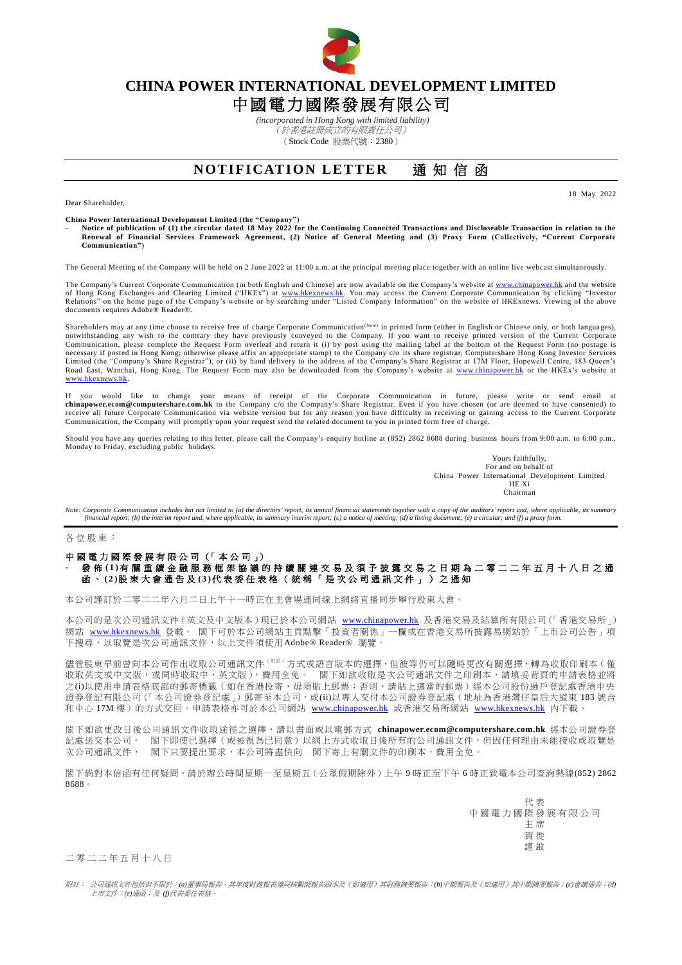

## **CHINA POWER INTERNATIONAL DEVELOPMENT LIMITED** 中國電力國際發展有限公司

*(incorporated in Hong Kong with limited liability)* (於香港註冊成立的有限責任公司) (Stock Code 股票代號:2380)

## **NOTIFICATION LETTER** 通知信函

18 May 2022

Dear Shareholder,

**China Power International Development Limited (the "Company")**

- **Notice of publication of (1) the circular dated 18 May 2022 for the Continuing Connected Transactions and Discloseable Transaction in relation to the Renewal of Financial Services Framework Agreement, (2) Notice of General Meeting and (3) Proxy Form (Collectively, "Current Corporate Communication")**

The General Meeting of the Company will be held on 2 June 2022 at 11:00 a.m. at the principal meeting place together with an online live webcast simultaneously.

The Company's Current Corporate Communication (in both English and Chinese) are now available on the Company's website a[t www.chinapower.hk](http://www.chinapower.hk/) and the website of Hong Kong Exchanges and Clearing Limited ("HKEx") at [www.hkexnews.hk.](http://www.hkexnews.hk/) You may access the Current Corporate Communication by clicking "Investor<br>Relations" on the home page of the Company's website or by searching under " documents requires Adobe® Reader®.

Shareholders may at any time choose to receive free of charge Corporate Communication<sup>(Note)</sup> in printed form (either in English or Chinese only, or both languages), notwithstanding any wish to the contrary they have previously conveyed to the Company. If you want to receive printed version of the Current Corporate<br>Communication, please complete the Request Form overleaf and return it necessary if posted in Hong Kong; otherwise please affix an appropriate stamp) to the Company c/o its share registrar, Computershare Hong Kong Investor Services Limited (the "Company's Share Registrar"), or (ii) by hand delivery to the address of the Company's Share Registrar at 17M Floor, Hopewell Centre, 183 Queen's<br>Road East, Wanchai, Hong Kong. The Request Form may also be dow [www.hkexnews.hk.](http://www.hkexnews.hk/)

If you would like to change your means of receipt of the Corporate Communication in future, please write or send email at [chinapower.ecom@computershare.com.hk](mailto:chinapower.ecom@computershare.com.hk) to the Company c/o the Company's Share Registrar. Even if you have chosen (or are deemed to have consented) to<br>receive all future Corporate Communication via website version but for any Communication, the Company will promptly upon your request send the related document to you in printed form free of charge.

Should you have any queries relating to this letter, please call the Company's enquiry hotline at (852) 2862 8688 during business hours from 9:00 a.m. to 6:00 p.m. Monday to Friday, excluding public holidays.

> Yours faithfully, For and on behalf of China Power International Development Limited HE Xi Chairman

*Note: Corporate Communication includes but not limited to (a) the directors' report, its annual financial statements together with a copy of the auditors' report and, where applicable, its summary financial report; (b) the interim report and, where applicable, its summary interim report; (c) a notice of meeting; (d) a listing document; (e) a circular; and (f) a proxy form.*

各 位 股 東 :

## 中國電力國際發展有限公司 (「本公司」) - 發 佈 **( 1 )** 有 關 重續金融服務框架協議的持續關連交易及須予披露交易 之 日 期為二零 二 二 年 五 月 十 八 日 之 通 函 、 **( 2 )**股 東 大 會 通 告 及 **( 3 )**代 表 委 任 表 格 ( 統 稱 「 是 次 公 司 通 訊 文 件 」 ) 之 通 知

本公司謹訂於二零二二年六月二日上午十一時正在主會場連同線上網絡直播同步舉行股東大會。

本公司的是次公司通訊文件(英文及中文版本)現已於本公司網站 [www.chinapower.hk](http://www.chinapower.hk/) 及香港交易及結算所有限公司(「香港交易所」) 網站 [www.hkexnews.hk](http://www.hkexnews.hk/) 登載。 閣下可於本公司網站主頁點擊「投資者關係」一欄或在香港交易所披露易網站於「上市公司公告」項 下搜尋,以取覽是次公司通訊文件,以上文件須使用Adobe® Reader® 瀏覽。

儘管股東早前曾向本公司作出收取公司通訊文件<sup>(附註)</sup>方式或語言版本的選擇,但彼等仍可以隨時更改有關選擇,轉為收取印刷本(僅 收取英文或中文版,或同時收取中、英文版),費用全免。 閣下如欲收取是次公司通訊文件之印刷本,請填妥背頁的申請表格並將 之(i)以使用申請表格底部的郵寄標籤(如在香港投寄,毋須貼上郵票;否則,請貼上適當的郵票)經本公司股份過戶登記處香港中央 證券登記有限公司(「本公司證券登記處」)郵寄至本公司,或(ii)以專人交付本公司證券登記處(地址為香港灣仔皇后大道東 183號合 和中心 17M 樓)的方式交回。申請表格亦可於本公司網站 [www.chinapower.hk](http://www.chinapower.hk/) 或香港交易所網站 [www.hkexnews.hk](http://www.hkexnews.hk/) 內下載。

閣下如欲更改日後公司通訊文件收取途徑之選擇,請以書面或以電郵方式 **[chinapower.ecom@computershare.com.hk](mailto:chinapower.ecom@computershare.com.hk)** 經本公司證券登 記處送交本公司。 閣下即使已選擇(或被視為已同意)以網上方式收取日後所有的公司通訊文件,但因任何理由未能接收或取覽是 次公司通訊文件, 閣下只要提出要求,本公司將盡快向 閣下寄上有關文件的印刷本,費用全免。

閣下倘對本信函有任何疑問,請於辦公時間星期一至星期五(公眾假期除外)上午 9 時正至下午 6 時正致電本公司查詢熱線(852) 2862 8688。

> 代 表 中國電力國際發展有限公司 主 席 賀 徙 謹 啟

二 零 二 二 年 五 月 十 八 日

附註: 公司通訊文件包括但不限於:*(a)*董事局報告、其年度財務報表連同核數師報告副本及(如適用)其財務摘要報告;*(b)*中期報告及(如適用)其中期摘要報告;*(c)*會議通告;*(d)* 上市文件;*(e)*通函;及 *(f)*代表委任表格。